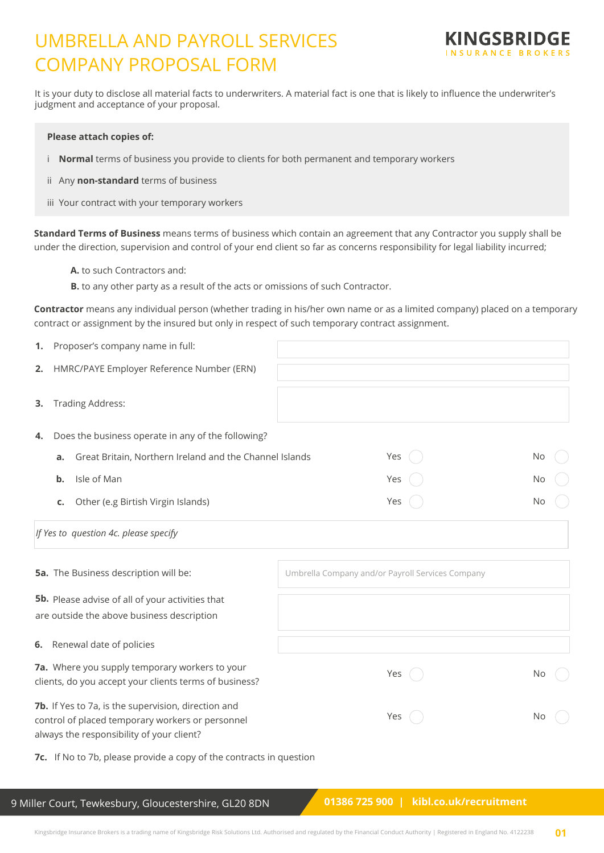# UMBRELLA AND PAYROLL SERVICES COMPANY PROPOSAL FORM



It is your duty to disclose all material facts to underwriters. A material fact is one that is likely to influence the underwriter's judgment and acceptance of your proposal.

#### **Please attach copies of:**

- i **Normal** terms of business you provide to clients for both permanent and temporary workers
- ii Any **non-standard** terms of business
- iii Your contract with your temporary workers

**Standard Terms of Business** means terms of business which contain an agreement that any Contractor you supply shall be under the direction, supervision and control of your end client so far as concerns responsibility for legal liability incurred;

- **A.** to such Contractors and:
- **B.** to any other party as a result of the acts or omissions of such Contractor.

**Contractor** means any individual person (whether trading in his/her own name or as a limited company) placed on a temporary contract or assignment by the insured but only in respect of such temporary contract assignment.

| 1. | Proposer's company name in full:                                                                                                                     |                                                  |    |
|----|------------------------------------------------------------------------------------------------------------------------------------------------------|--------------------------------------------------|----|
| 2. | HMRC/PAYE Employer Reference Number (ERN)                                                                                                            |                                                  |    |
| 3. | <b>Trading Address:</b>                                                                                                                              |                                                  |    |
| 4. | Does the business operate in any of the following?                                                                                                   |                                                  |    |
|    | Great Britain, Northern Ireland and the Channel Islands<br>a.                                                                                        | Yes                                              | No |
|    | Isle of Man<br>$\mathbf b$ .                                                                                                                         | Yes                                              | No |
|    | Other (e.g Birtish Virgin Islands)<br>c.                                                                                                             | Yes                                              | No |
|    | If Yes to question 4c. please specify                                                                                                                |                                                  |    |
|    | 5a. The Business description will be:                                                                                                                | Umbrella Company and/or Payroll Services Company |    |
|    | 5b. Please advise of all of your activities that<br>are outside the above business description                                                       |                                                  |    |
| 6. | Renewal date of policies                                                                                                                             |                                                  |    |
|    | 7a. Where you supply temporary workers to your<br>clients, do you accept your clients terms of business?                                             | Yes                                              | No |
|    | 7b. If Yes to 7a, is the supervision, direction and<br>control of placed temporary workers or personnel<br>always the responsibility of your client? | Yes                                              | No |
|    | 7c. If No to 7b, please provide a copy of the contracts in question                                                                                  |                                                  |    |

9 Miller Court, Tewkesbury, Gloucestershire, GL20 8DN

 **01386 725 900 | kibl.co.uk/recruitment**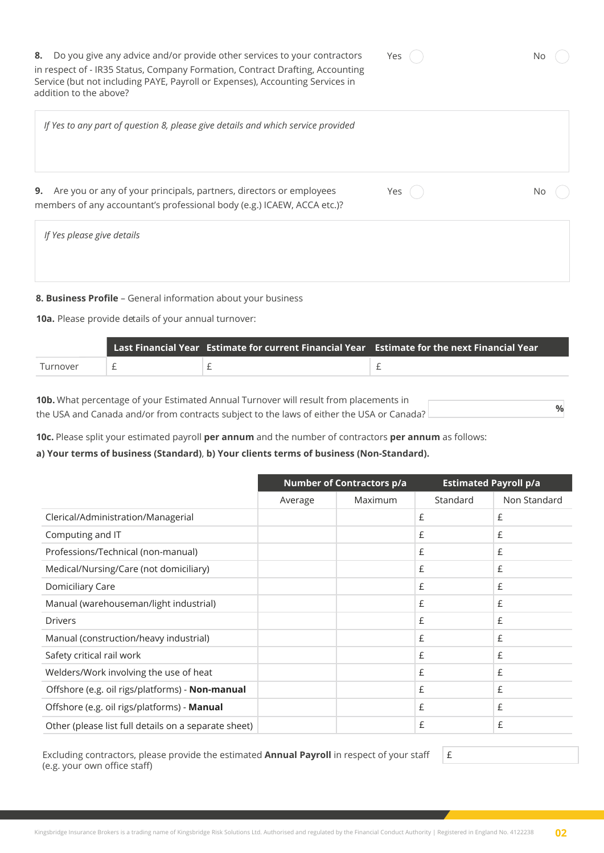| Yes |  | No |
|-----|--|----|
|     |  |    |

Yes ( ) No

**8.** Do you give any advice and/or provide other services to your contractors in respect of - IR35 Status, Company Formation, Contract Drafting, Accounting Service (but not including PAYE, Payroll or Expenses), Accounting Services in addition to the above?

*If Yes to any part of question 8, please give details and which service provided* 

**9.** Are you or any of your principals, partners, directors or employees members of any accountant's professional body (e.g.) ICAEW, ACCA etc.)?

*If Yes please give details*

**8. Business Profile** – General information about your business

**10a.** Please provide details of your annual turnover:

|          |  | Last Financial Year Estimate for current Financial Year Estimate for the next Financial Year |
|----------|--|----------------------------------------------------------------------------------------------|
| Turnover |  |                                                                                              |

**10b.** What percentage of your Estimated Annual Turnover will result from placements in the USA and Canada and/or from contracts subject to the laws of either the USA or Canada? **%**

**10c.** Please split your estimated payroll **per annum** and the number of contractors **per annum** as follows:

#### **a) Your terms of business (Standard)**, **b) Your clients terms of business (Non-Standard).**

|                                                      |         | <b>Number of Contractors p/a</b> | <b>Estimated Payroll p/a</b> |              |
|------------------------------------------------------|---------|----------------------------------|------------------------------|--------------|
|                                                      | Average | Maximum                          | Standard                     | Non Standard |
| Clerical/Administration/Managerial                   |         |                                  | £                            | £            |
| Computing and IT                                     |         |                                  | £                            | £            |
| Professions/Technical (non-manual)                   |         |                                  | £                            | £            |
| Medical/Nursing/Care (not domiciliary)               |         |                                  | £                            | £            |
| Domiciliary Care                                     |         |                                  | £                            | £            |
| Manual (warehouseman/light industrial)               |         |                                  | £                            | £            |
| <b>Drivers</b>                                       |         |                                  | £                            | £            |
| Manual (construction/heavy industrial)               |         |                                  | £                            | £            |
| Safety critical rail work                            |         |                                  | £                            | £            |
| Welders/Work involving the use of heat               |         |                                  | £                            | £            |
| Offshore (e.g. oil rigs/platforms) - Non-manual      |         |                                  | £                            | £            |
| Offshore (e.g. oil rigs/platforms) - Manual          |         |                                  | £                            | £            |
| Other (please list full details on a separate sheet) |         |                                  | £                            | £            |

Excluding contractors, please provide the estimated **Annual Payroll** in respect of your staff (e.g. your own office staff)

£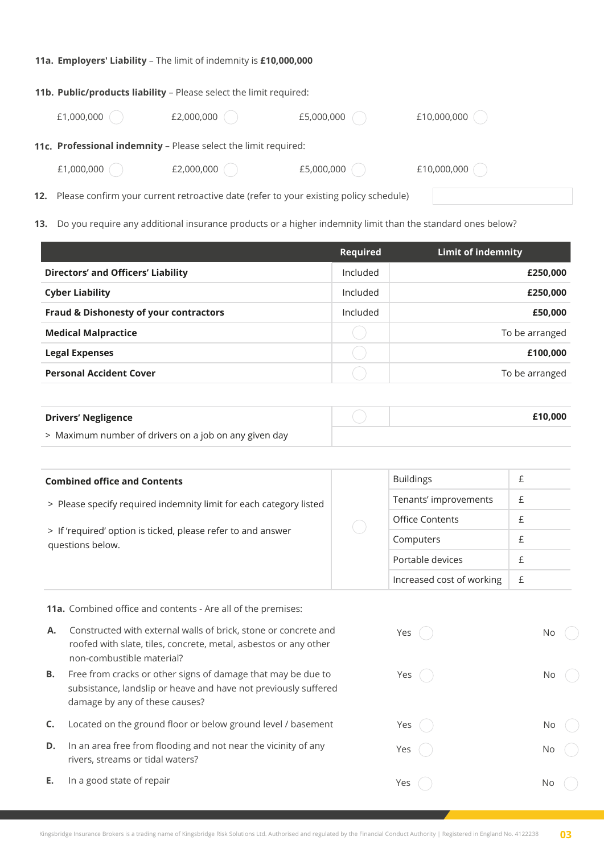#### **11a. Employers' Liability** – The limit of indemnity is **£10,000,000**

|            | 11b. Public/products liability - Please select the limit required:                        |            |             |
|------------|-------------------------------------------------------------------------------------------|------------|-------------|
| £1,000,000 | £2,000,000                                                                                | £5,000,000 | £10,000,000 |
|            | 11c. Professional indemnity - Please select the limit required:                           |            |             |
| £1,000,000 | £2,000,000                                                                                | £5,000,000 | £10,000,000 |
|            | 12. Please confirm your current retroactive date (refer to your existing policy schedule) |            |             |

**13.** Do you require any additional insurance products or a higher indemnity limit than the standard ones below?

|                                           | <b>Required</b> | Limit of indemnity |
|-------------------------------------------|-----------------|--------------------|
| <b>Directors' and Officers' Liability</b> | Included        | £250,000           |
| <b>Cyber Liability</b>                    | Included        | £250,000           |
| Fraud & Dishonesty of your contractors    | Included        | £50,000            |
| <b>Medical Malpractice</b>                |                 | To be arranged     |
| <b>Legal Expenses</b>                     |                 | £100,000           |
| <b>Personal Accident Cover</b>            |                 | To be arranged     |

| <b>Drivers' Negligence</b>                            | £10,000 |
|-------------------------------------------------------|---------|
| > Maximum number of drivers on a job on any given day |         |

| <b>Combined office and Contents</b>                                              |  | <b>Buildings</b>          |   |
|----------------------------------------------------------------------------------|--|---------------------------|---|
| > Please specify required indemnity limit for each category listed               |  | Tenants' improvements     | £ |
| > If 'required' option is ticked, please refer to and answer<br>questions below. |  | Office Contents           |   |
|                                                                                  |  | Computers                 |   |
|                                                                                  |  | Portable devices          |   |
|                                                                                  |  | Increased cost of working |   |

**11a.** Combined office and contents - Are all of the premises:

- **A.** Constructed with external walls of brick, stone or concrete and roofed with slate, tiles, concrete, metal, asbestos or any other non-combustible material?
- **B.** Free from cracks or other signs of damage that may be due to subsistance, landslip or heave and have not previously suffered damage by any of these causes?
- **C.** Located on the ground floor or below ground level / basement
- **D.** In an area free from flooding and not near the vicinity of any rivers, streams or tidal waters?
- **E.** In a good state of repair

| Yes $($        | No                   |
|----------------|----------------------|
| Yes $\bigcirc$ | No<br>$(\ )$         |
| Yes $\bigcirc$ | No $\bigcirc$        |
| Yes $\bigcirc$ | No<br>O              |
| Yes            | No<br>$\mathbb{R}^2$ |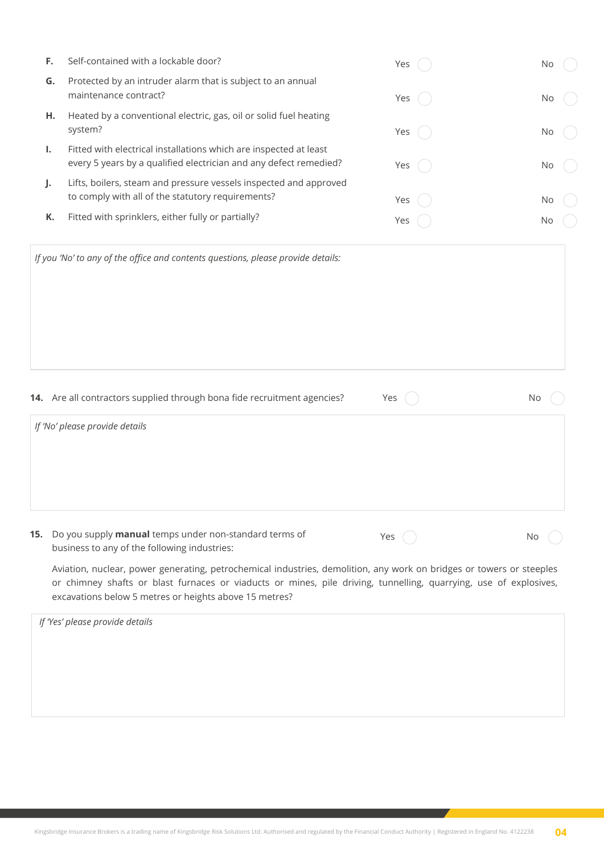| F.  | Self-contained with a lockable door?                                                                                                                                                                                                                                                                                                                                                                                                             | Yes | No |
|-----|--------------------------------------------------------------------------------------------------------------------------------------------------------------------------------------------------------------------------------------------------------------------------------------------------------------------------------------------------------------------------------------------------------------------------------------------------|-----|----|
| G.  | Protected by an intruder alarm that is subject to an annual<br>maintenance contract?                                                                                                                                                                                                                                                                                                                                                             | Yes | No |
| н.  | Heated by a conventional electric, gas, oil or solid fuel heating<br>system?                                                                                                                                                                                                                                                                                                                                                                     | Yes | N0 |
| Ι.  | Fitted with electrical installations which are inspected at least<br>every 5 years by a qualified electrician and any defect remedied?                                                                                                                                                                                                                                                                                                           | Yes | No |
| J.  | Lifts, boilers, steam and pressure vessels inspected and approved<br>to comply with all of the statutory requirements?                                                                                                                                                                                                                                                                                                                           | Yes | No |
| K.  | Fitted with sprinklers, either fully or partially?                                                                                                                                                                                                                                                                                                                                                                                               | Yes | No |
|     | If you 'No' to any of the office and contents questions, please provide details:<br>14. Are all contractors supplied through bona fide recruitment agencies?<br>If 'No' please provide details                                                                                                                                                                                                                                                   | Yes | No |
| 15. | Do you supply manual temps under non-standard terms of<br>business to any of the following industries:<br>Aviation, nuclear, power generating, petrochemical industries, demolition, any work on bridges or towers or steeples<br>or chimney shafts or blast furnaces or viaducts or mines, pile driving, tunnelling, quarrying, use of explosives,<br>excavations below 5 metres or heights above 15 metres?<br>If 'Yes' please provide details | Yes | No |
|     |                                                                                                                                                                                                                                                                                                                                                                                                                                                  |     |    |